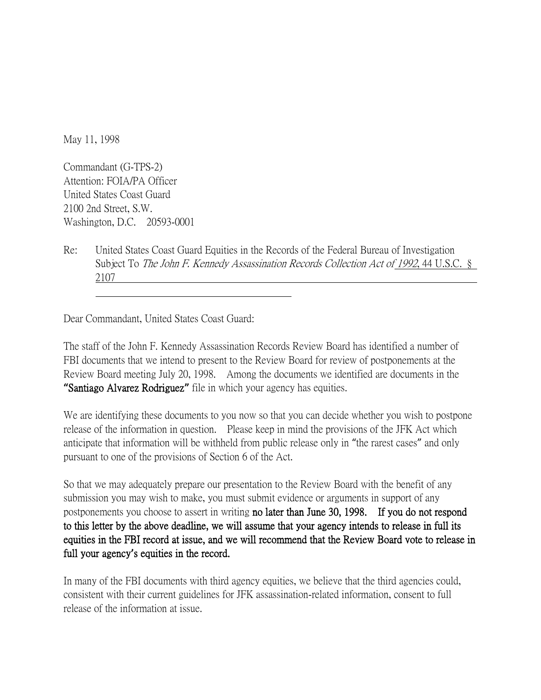May 11, 1998

Commandant (G-TPS-2) Attention: FOIA/PA Officer United States Coast Guard 2100 2nd Street, S.W. Washington, D.C. 20593-0001

Re: United States Coast Guard Equities in the Records of the Federal Bureau of Investigation Subject To The John F. Kennedy Assassination Records Collection Act of 1992, 44 U.S.C. § 2107

Dear Commandant, United States Coast Guard:

The staff of the John F. Kennedy Assassination Records Review Board has identified a number of FBI documents that we intend to present to the Review Board for review of postponements at the Review Board meeting July 20, 1998. Among the documents we identified are documents in the **"**Santiago Alvarez Rodriguez**"** file in which your agency has equities.

We are identifying these documents to you now so that you can decide whether you wish to postpone release of the information in question. Please keep in mind the provisions of the JFK Act which anticipate that information will be withheld from public release only in "the rarest cases" and only pursuant to one of the provisions of Section 6 of the Act.

So that we may adequately prepare our presentation to the Review Board with the benefit of any submission you may wish to make, you must submit evidence or arguments in support of any postponements you choose to assert in writing no later than June 30, 1998. If you do not respond to this letter by the above deadline, we will assume that your agency intends to release in full its equities in the FBI record at issue, and we will recommend that the Review Board vote to release in full your agency**'**s equities in the record.

In many of the FBI documents with third agency equities, we believe that the third agencies could, consistent with their current guidelines for JFK assassination-related information, consent to full release of the information at issue.